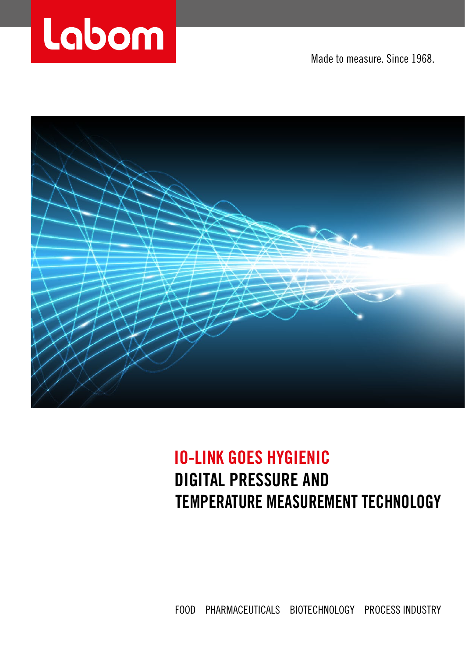

Made to measure. Since 1968.



## **IO-LINK GOES HYGIENIC DIGITAL PRESSURE AND TEMPERATURE MEASUREMENT TECHNOLOGY**

FOOD PHARMACEUTICALS BIOTECHNOLOGY PROCESS INDUSTRY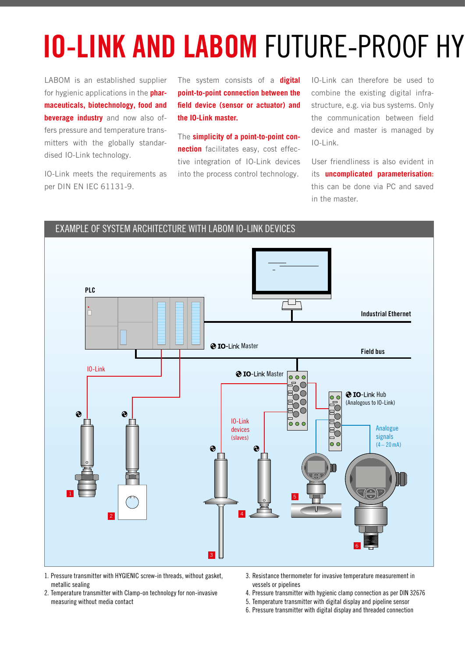## **IO-LINK AND LABOM FUTURE-PROOF HY**

LABOM is an established supplier for hygienic applications in the **pharmaceuticals, biotechnology, food and beverage industry** and now also offers pressure and temperature transmitters with the globally standardised IO-Link technology.

IO-Link meets the requirements as per DIN EN IEC 61131-9.

The system consists of a **digital point-to-point connection between the field device (sensor or actuator) and the IO-Link master.**

The **simplicity of a point-to-point connection** facilitates easy, cost effective integration of IO-Link devices into the process control technology.

IO-Link can therefore be used to combine the existing digital infrastructure, e.g. via bus systems. Only the communication between field device and master is managed by  $IO-I$  ink.

User friendliness is also evident in its **uncomplicated parameterisation:** this can be done via PC and saved in the master.



- 1. Pressure transmitter with HYGIENIC screw-in threads, without gasket, metallic sealing
- 2. Temperature transmitter with Clamp-on technology for non-invasive measuring without media contact
- 3. Resistance thermometer for invasive temperature measurement in vessels or pipelines
- 4. Pressure transmitter with hygienic clamp connection as per DIN 32676
- 5. Temperature transmitter with digital display and pipeline sensor
- 6. Pressure transmitter with digital display and threaded connection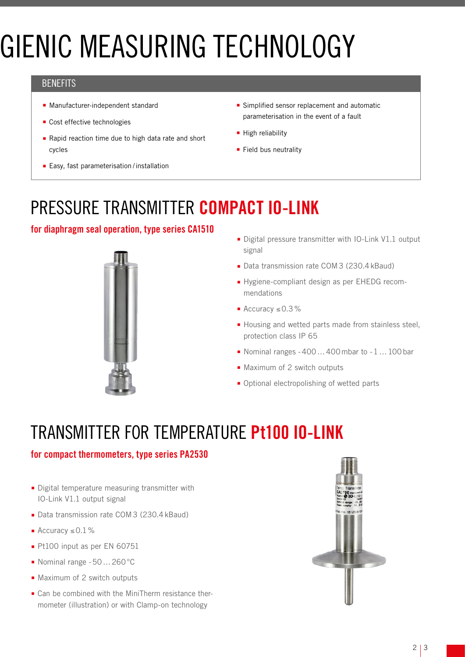# **GIENIC MEASURING TECHNOLOGY**

#### **BENEFITS**

- Manufacturer-independent standard
- Cost effective technologies
- Rapid reaction time due to high data rate and short cycles
- Easy, fast parameterisation / installation
- Simplified sensor replacement and automatic parameterisation in the event of a fault
- High reliability
- Field bus neutrality

## PRESSURE TRANSMITTER COMPACT IO-LINK

### for diaphragm seal operation, type series CA1510



- Digital pressure transmitter with IO-Link V1.1 output signal
- Data transmission rate COM3 (230.4 kBaud)
- Hygiene-compliant design as per EHEDG recommendations
- Accuracy ≤0.3%
- Housing and wetted parts made from stainless steel, protection class IP 65
- Nominal ranges -400 ... 400 mbar to -1 ... 100 bar
- Maximum of 2 switch outputs
- Optional electropolishing of wetted parts

## TRANSMITTER FOR TEMPERATURE Pt100 IO-LINK

#### for compact thermometers, type series PA2530

- Digital temperature measuring transmitter with IO-Link V1.1 output signal
- Data transmission rate COM3 (230.4 kBaud)
- Accuracy ≤0.1%
- Pt100 input as per EN 60751
- Nominal range -50...260 °C
- Maximum of 2 switch outputs
- Can be combined with the MiniTherm resistance thermometer (illustration) or with Clamp-on technology